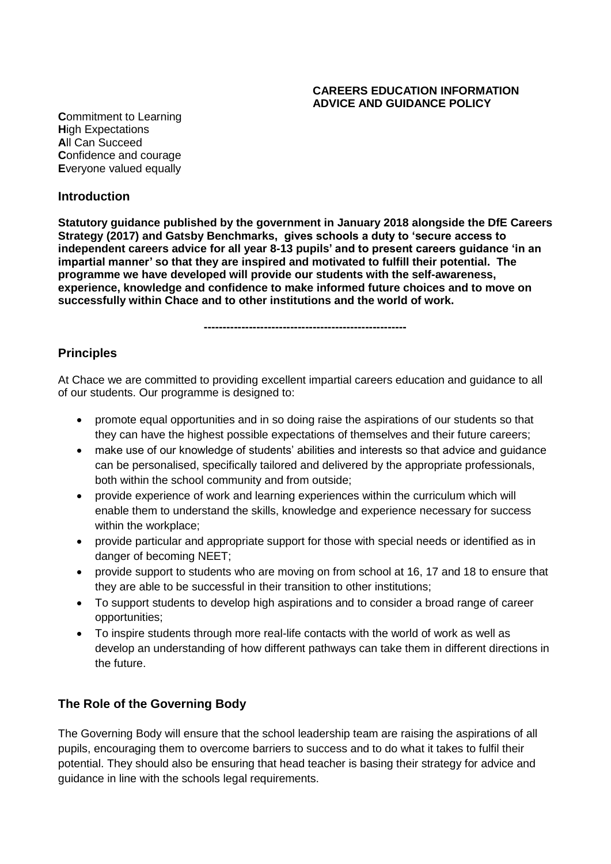#### **CAREERS EDUCATION INFORMATION ADVICE AND GUIDANCE POLICY**

**C**ommitment to Learning **H**igh Expectations **A**ll Can Succeed **C**onfidence and courage **E**veryone valued equally

#### **Introduction**

**Statutory guidance published by the government in January 2018 alongside the DfE Careers Strategy (2017) and Gatsby Benchmarks, gives schools a duty to 'secure access to independent careers advice for all year 8-13 pupils' and to present careers guidance 'in an impartial manner' so that they are inspired and motivated to fulfill their potential. The programme we have developed will provide our students with the self-awareness, experience, knowledge and confidence to make informed future choices and to move on successfully within Chace and to other institutions and the world of work.** 

**------------------------------------------------------**

## **Principles**

At Chace we are committed to providing excellent impartial careers education and guidance to all of our students. Our programme is designed to:

- promote equal opportunities and in so doing raise the aspirations of our students so that they can have the highest possible expectations of themselves and their future careers;
- make use of our knowledge of students' abilities and interests so that advice and guidance can be personalised, specifically tailored and delivered by the appropriate professionals, both within the school community and from outside;
- provide experience of work and learning experiences within the curriculum which will enable them to understand the skills, knowledge and experience necessary for success within the workplace;
- provide particular and appropriate support for those with special needs or identified as in danger of becoming NEET;
- provide support to students who are moving on from school at 16, 17 and 18 to ensure that they are able to be successful in their transition to other institutions;
- To support students to develop high aspirations and to consider a broad range of career opportunities;
- To inspire students through more real-life contacts with the world of work as well as develop an understanding of how different pathways can take them in different directions in the future.

### **The Role of the Governing Body**

The Governing Body will ensure that the school leadership team are raising the aspirations of all pupils, encouraging them to overcome barriers to success and to do what it takes to fulfil their potential. They should also be ensuring that head teacher is basing their strategy for advice and guidance in line with the schools legal requirements.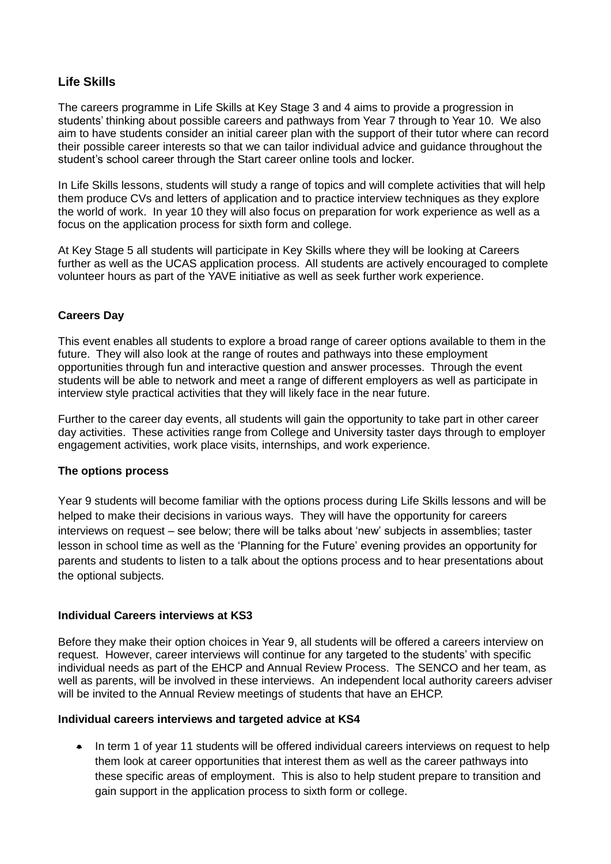## **Life Skills**

The careers programme in Life Skills at Key Stage 3 and 4 aims to provide a progression in students' thinking about possible careers and pathways from Year 7 through to Year 10. We also aim to have students consider an initial career plan with the support of their tutor where can record their possible career interests so that we can tailor individual advice and guidance throughout the student's school career through the Start career online tools and locker.

In Life Skills lessons, students will study a range of topics and will complete activities that will help them produce CVs and letters of application and to practice interview techniques as they explore the world of work. In year 10 they will also focus on preparation for work experience as well as a focus on the application process for sixth form and college.

At Key Stage 5 all students will participate in Key Skills where they will be looking at Careers further as well as the UCAS application process. All students are actively encouraged to complete volunteer hours as part of the YAVE initiative as well as seek further work experience.

#### **Careers Day**

This event enables all students to explore a broad range of career options available to them in the future. They will also look at the range of routes and pathways into these employment opportunities through fun and interactive question and answer processes. Through the event students will be able to network and meet a range of different employers as well as participate in interview style practical activities that they will likely face in the near future.

Further to the career day events, all students will gain the opportunity to take part in other career day activities. These activities range from College and University taster days through to employer engagement activities, work place visits, internships, and work experience.

#### **The options process**

Year 9 students will become familiar with the options process during Life Skills lessons and will be helped to make their decisions in various ways. They will have the opportunity for careers interviews on request – see below; there will be talks about 'new' subjects in assemblies; taster lesson in school time as well as the 'Planning for the Future' evening provides an opportunity for parents and students to listen to a talk about the options process and to hear presentations about the optional subjects.

#### **Individual Careers interviews at KS3**

Before they make their option choices in Year 9, all students will be offered a careers interview on request. However, career interviews will continue for any targeted to the students' with specific individual needs as part of the EHCP and Annual Review Process. The SENCO and her team, as well as parents, will be involved in these interviews. An independent local authority careers adviser will be invited to the Annual Review meetings of students that have an EHCP.

#### **Individual careers interviews and targeted advice at KS4**

• In term 1 of year 11 students will be offered individual careers interviews on request to help them look at career opportunities that interest them as well as the career pathways into these specific areas of employment. This is also to help student prepare to transition and gain support in the application process to sixth form or college.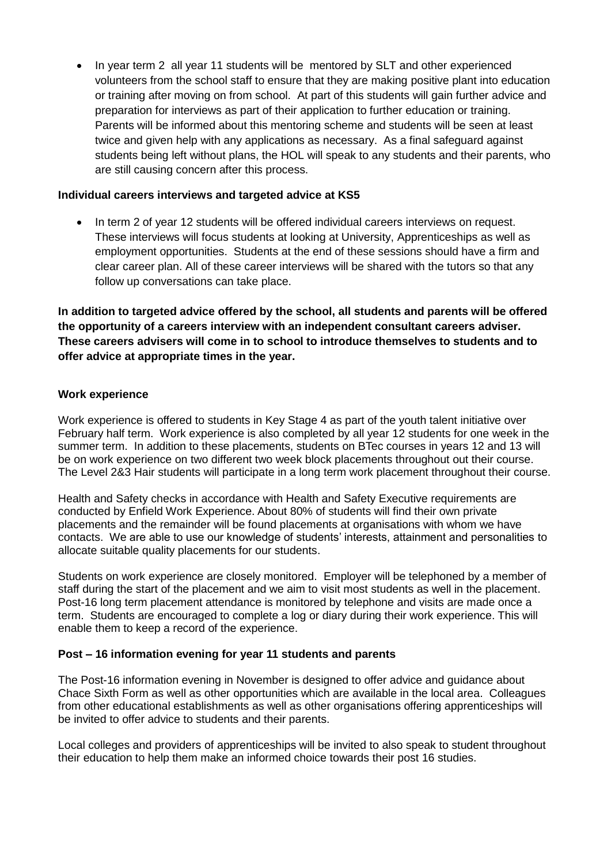In year term 2 all year 11 students will be mentored by SLT and other experienced volunteers from the school staff to ensure that they are making positive plant into education or training after moving on from school. At part of this students will gain further advice and preparation for interviews as part of their application to further education or training. Parents will be informed about this mentoring scheme and students will be seen at least twice and given help with any applications as necessary. As a final safeguard against students being left without plans, the HOL will speak to any students and their parents, who are still causing concern after this process.

#### **Individual careers interviews and targeted advice at KS5**

• In term 2 of year 12 students will be offered individual careers interviews on request. These interviews will focus students at looking at University, Apprenticeships as well as employment opportunities. Students at the end of these sessions should have a firm and clear career plan. All of these career interviews will be shared with the tutors so that any follow up conversations can take place.

**In addition to targeted advice offered by the school, all students and parents will be offered the opportunity of a careers interview with an independent consultant careers adviser. These careers advisers will come in to school to introduce themselves to students and to offer advice at appropriate times in the year.**

#### **Work experience**

Work experience is offered to students in Key Stage 4 as part of the youth talent initiative over February half term. Work experience is also completed by all year 12 students for one week in the summer term. In addition to these placements, students on BTec courses in years 12 and 13 will be on work experience on two different two week block placements throughout out their course. The Level 2&3 Hair students will participate in a long term work placement throughout their course.

Health and Safety checks in accordance with Health and Safety Executive requirements are conducted by Enfield Work Experience. About 80% of students will find their own private placements and the remainder will be found placements at organisations with whom we have contacts. We are able to use our knowledge of students' interests, attainment and personalities to allocate suitable quality placements for our students.

Students on work experience are closely monitored. Employer will be telephoned by a member of staff during the start of the placement and we aim to visit most students as well in the placement. Post-16 long term placement attendance is monitored by telephone and visits are made once a term. Students are encouraged to complete a log or diary during their work experience. This will enable them to keep a record of the experience.

#### **Post – 16 information evening for year 11 students and parents**

The Post-16 information evening in November is designed to offer advice and guidance about Chace Sixth Form as well as other opportunities which are available in the local area. Colleagues from other educational establishments as well as other organisations offering apprenticeships will be invited to offer advice to students and their parents.

Local colleges and providers of apprenticeships will be invited to also speak to student throughout their education to help them make an informed choice towards their post 16 studies.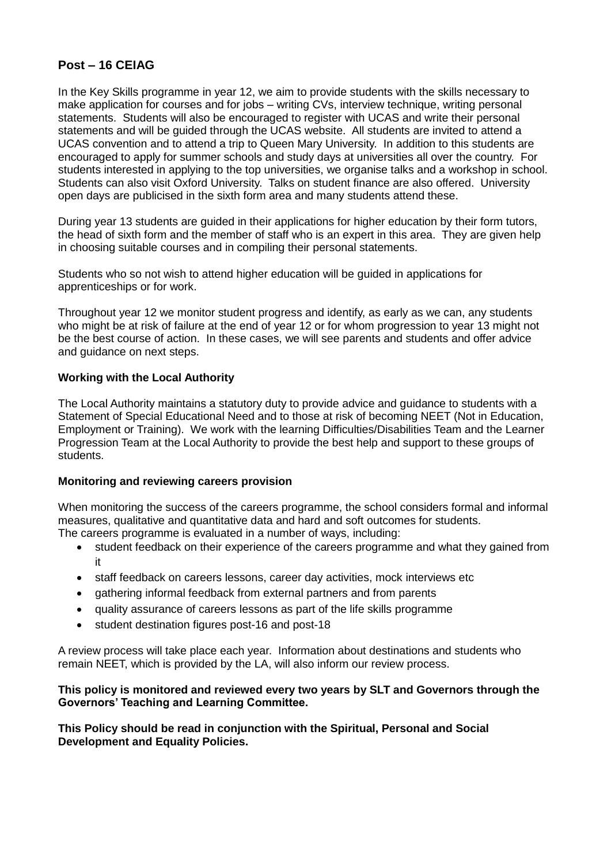## **Post – 16 CEIAG**

In the Key Skills programme in year 12, we aim to provide students with the skills necessary to make application for courses and for jobs – writing CVs, interview technique, writing personal statements. Students will also be encouraged to register with UCAS and write their personal statements and will be guided through the UCAS website. All students are invited to attend a UCAS convention and to attend a trip to Queen Mary University. In addition to this students are encouraged to apply for summer schools and study days at universities all over the country. For students interested in applying to the top universities, we organise talks and a workshop in school. Students can also visit Oxford University. Talks on student finance are also offered. University open days are publicised in the sixth form area and many students attend these.

During year 13 students are guided in their applications for higher education by their form tutors, the head of sixth form and the member of staff who is an expert in this area. They are given help in choosing suitable courses and in compiling their personal statements.

Students who so not wish to attend higher education will be guided in applications for apprenticeships or for work.

Throughout year 12 we monitor student progress and identify, as early as we can, any students who might be at risk of failure at the end of year 12 or for whom progression to year 13 might not be the best course of action. In these cases, we will see parents and students and offer advice and guidance on next steps.

#### **Working with the Local Authority**

The Local Authority maintains a statutory duty to provide advice and guidance to students with a Statement of Special Educational Need and to those at risk of becoming NEET (Not in Education, Employment or Training). We work with the learning Difficulties/Disabilities Team and the Learner Progression Team at the Local Authority to provide the best help and support to these groups of students.

#### **Monitoring and reviewing careers provision**

When monitoring the success of the careers programme, the school considers formal and informal measures, qualitative and quantitative data and hard and soft outcomes for students. The careers programme is evaluated in a number of ways, including:

- student feedback on their experience of the careers programme and what they gained from it
- staff feedback on careers lessons, career day activities, mock interviews etc
- gathering informal feedback from external partners and from parents
- quality assurance of careers lessons as part of the life skills programme
- student destination figures post-16 and post-18

A review process will take place each year. Information about destinations and students who remain NEET, which is provided by the LA, will also inform our review process.

#### **This policy is monitored and reviewed every two years by SLT and Governors through the Governors' Teaching and Learning Committee.**

**This Policy should be read in conjunction with the Spiritual, Personal and Social Development and Equality Policies.**